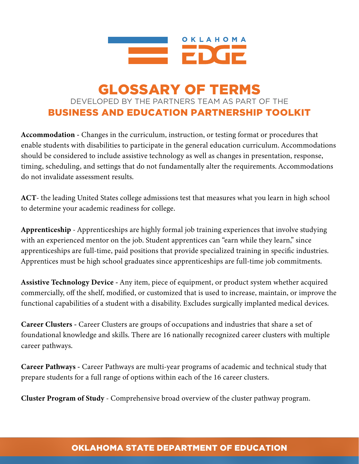

# GLOSSARY OF TERMS DEVELOPED BY THE PARTNERS TEAM AS PART OF THE BUSINESS AND EDUCATION PARTNERSHIP TOOLKIT

**Accommodation -** Changes in the curriculum, instruction, or testing format or procedures that enable students with disabilities to participate in the general education curriculum. Accommodations should be considered to include assistive technology as well as changes in presentation, response, timing, scheduling, and settings that do not fundamentally alter the requirements. Accommodations do not invalidate assessment results.

**ACT**- the leading United States college admissions test that measures what you learn in high school to determine your academic readiness for college.

**Apprenticeship** - Apprenticeships are highly formal job training experiences that involve studying with an experienced mentor on the job. Student apprentices can "earn while they learn," since apprenticeships are full-time, paid positions that provide specialized training in specific industries. Apprentices must be high school graduates since apprenticeships are full-time job commitments.

**Assistive Technology Device -** Any item, piece of equipment, or product system whether acquired commercially, off the shelf, modified, or customized that is used to increase, maintain, or improve the functional capabilities of a student with a disability. Excludes surgically implanted medical devices.

**Career Clusters -** Career Clusters are groups of occupations and industries that share a set of foundational knowledge and skills. There are 16 nationally recognized career clusters with multiple career pathways.

**Career Pathways -** Career Pathways are multi-year programs of academic and technical study that prepare students for a full range of options within each of the 16 career clusters.

**Cluster Program of Study** - Comprehensive broad overview of the cluster pathway program.

#### OKLAHOMA STATE DEPARTMENT OF EDUCATION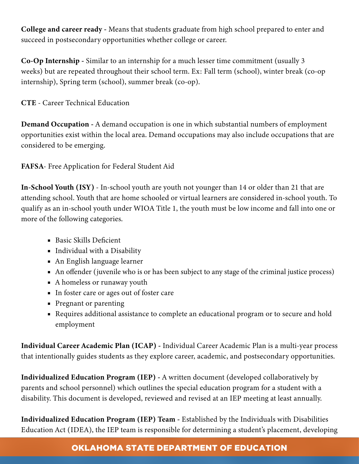**College and career ready -** Means that students graduate from high school prepared to enter and succeed in postsecondary opportunities whether college or career.

**Co-Op Internship -** Similar to an internship for a much lesser time commitment (usually 3 weeks) but are repeated throughout their school term. Ex: Fall term (school), winter break (co-op internship), Spring term (school), summer break (co-op).

**CTE** - Career Technical Education

**Demand Occupation -** A demand occupation is one in which substantial numbers of employment opportunities exist within the local area. Demand occupations may also include occupations that are considered to be emerging.

**FAFSA**- Free Application for Federal Student Aid

**In-School Youth (ISY )** - In-school youth are youth not younger than 14 or older than 21 that are attending school. Youth that are home schooled or virtual learners are considered in-school youth. To qualify as an in-school youth under WIOA Title 1, the youth must be low income and fall into one or more of the following categories.

- Basic Skills Deficient
- Individual with a Disability
- An English language learner
- An offender (juvenile who is or has been subject to any stage of the criminal justice process)
- A homeless or runaway youth
- In foster care or ages out of foster care
- Pregnant or parenting
- Requires additional assistance to complete an educational program or to secure and hold employment

**Individual Career Academic Plan (ICAP) -** Individual Career Academic Plan is a multi-year process that intentionally guides students as they explore career, academic, and postsecondary opportunities.

**Individualized Education Program (IEP) -** A written document (developed collaboratively by parents and school personnel) which outlines the special education program for a student with a disability. This document is developed, reviewed and revised at an IEP meeting at least annually.

**Individualized Education Program (IEP) Team -** Established by the Individuals with Disabilities Education Act (IDEA), the IEP team is responsible for determining a student's placement, developing

## OKLAHOMA STATE DEPARTMENT OF EDUCATION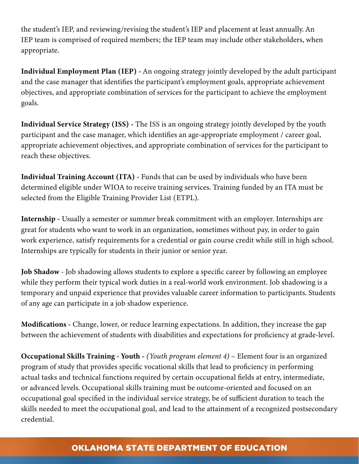the student's IEP, and reviewing/revising the student's IEP and placement at least annually. An IEP team is comprised of required members; the IEP team may include other stakeholders, when appropriate.

**Individual Employment Plan (IEP) -** An ongoing strategy jointly developed by the adult participant and the case manager that identifies the participant's employment goals, appropriate achievement objectives, and appropriate combination of services for the participant to achieve the employment goals.

**Individual Service Strategy (ISS) -** The ISS is an ongoing strategy jointly developed by the youth participant and the case manager, which identifies an age-appropriate employment / career goal, appropriate achievement objectives, and appropriate combination of services for the participant to reach these objectives.

**Individual Training Account (ITA) -** Funds that can be used by individuals who have been determined eligible under WIOA to receive training services. Training funded by an ITA must be selected from the Eligible Training Provider List (ETPL).

**Internship -** Usually a semester or summer break commitment with an employer. Internships are great for students who want to work in an organization, sometimes without pay, in order to gain work experience, satisfy requirements for a credential or gain course credit while still in high school. Internships are typically for students in their junior or senior year.

**Job Shadow** - Job shadowing allows students to explore a specific career by following an employee while they perform their typical work duties in a real-world work environment. Job shadowing is a temporary and unpaid experience that provides valuable career information to participants. Students of any age can participate in a job shadow experience.

**Modifications -** Change, lower, or reduce learning expectations. In addition, they increase the gap between the achievement of students with disabilities and expectations for proficiency at grade-level.

**Occupational Skills Training - Youth -** *( Youth program element 4)* – Element four is an organized program of study that provides specific vocational skills that lead to proficiency in performing actual tasks and technical functions required by certain occupational fields at entry, intermediate, or advanced levels. Occupational skills training must be outcome-oriented and focused on an occupational goal specified in the individual service strategy, be of sufficient duration to teach the skills needed to meet the occupational goal, and lead to the attainment of a recognized postsecondary credential.

### OKLAHOMA STATE DEPARTMENT OF EDUCATION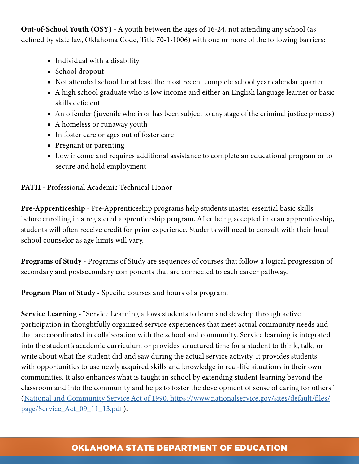**Out-of-School Youth (OSY) -** A youth between the ages of 16-24, not attending any school (as defined by state law, Oklahoma Code, Title 70-1-1006) with one or more of the following barriers:

- Individual with a disability
- School dropout
- Not attended school for at least the most recent complete school year calendar quarter
- A high school graduate who is low income and either an English language learner or basic skills deficient
- An offender (juvenile who is or has been subject to any stage of the criminal justice process)
- A homeless or runaway youth
- In foster care or ages out of foster care
- Pregnant or parenting
- Low income and requires additional assistance to complete an educational program or to secure and hold employment

### **PATH** - Professional Academic Technical Honor

**Pre-Apprenticeship** - Pre-Apprenticeship programs help students master essential basic skills before enrolling in a registered apprenticeship program. After being accepted into an apprenticeship, students will often receive credit for prior experience. Students will need to consult with their local school counselor as age limits will vary.

**Programs of Study -** Programs of Study are sequences of courses that follow a logical progression of secondary and postsecondary components that are connected to each career pathway.

**Program Plan of Study** - Specific courses and hours of a program.

**Service Learning** - "Service Learning allows students to learn and develop through active participation in thoughtfully organized service experiences that meet actual community needs and that are coordinated in collaboration with the school and community. Service learning is integrated into the student's academic curriculum or provides structured time for a student to think, talk, or write about what the student did and saw during the actual service activity. It provides students with opportunities to use newly acquired skills and knowledge in real-life situations in their own communities. It also enhances what is taught in school by extending student learning beyond the classroom and into the community and helps to foster the development of sense of caring for others" ([National and Community Service Act of 1990, https://www.nationalservice.gov/sites/default/files/](https://www.nationalservice.gov/sites/default/files/page/Service_Act_09_11_13.pdf) page/Service Act 09 11 13.pdf).